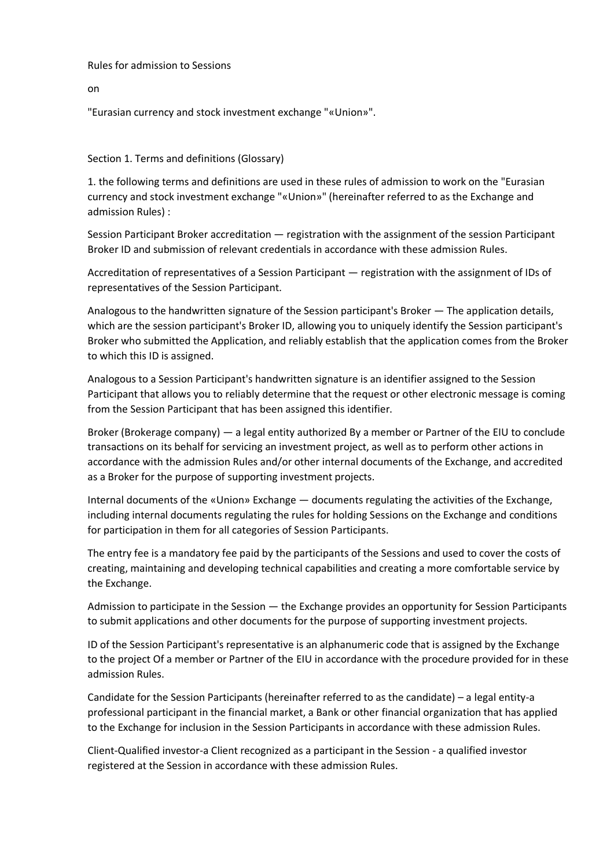Rules for admission to Sessions

on

"Eurasian currency and stock investment exchange "«Union»".

## Section 1. Terms and definitions (Glossary)

1. the following terms and definitions are used in these rules of admission to work on the "Eurasian currency and stock investment exchange "«Union»" (hereinafter referred to as the Exchange and admission Rules) :

Session Participant Broker accreditation — registration with the assignment of the session Participant Broker ID and submission of relevant credentials in accordance with these admission Rules.

Accreditation of representatives of a Session Participant — registration with the assignment of IDs of representatives of the Session Participant.

Analogous to the handwritten signature of the Session participant's Broker — The application details, which are the session participant's Broker ID, allowing you to uniquely identify the Session participant's Broker who submitted the Application, and reliably establish that the application comes from the Broker to which this ID is assigned.

Analogous to a Session Participant's handwritten signature is an identifier assigned to the Session Participant that allows you to reliably determine that the request or other electronic message is coming from the Session Participant that has been assigned this identifier.

Broker (Brokerage company) — a legal entity authorized By a member or Partner of the EIU to conclude transactions on its behalf for servicing an investment project, as well as to perform other actions in accordance with the admission Rules and/or other internal documents of the Exchange, and accredited as a Broker for the purpose of supporting investment projects.

Internal documents of the «Union» Exchange — documents regulating the activities of the Exchange, including internal documents regulating the rules for holding Sessions on the Exchange and conditions for participation in them for all categories of Session Participants.

The entry fee is a mandatory fee paid by the participants of the Sessions and used to cover the costs of creating, maintaining and developing technical capabilities and creating a more comfortable service by the Exchange.

Admission to participate in the Session — the Exchange provides an opportunity for Session Participants to submit applications and other documents for the purpose of supporting investment projects.

ID of the Session Participant's representative is an alphanumeric code that is assigned by the Exchange to the project Of a member or Partner of the EIU in accordance with the procedure provided for in these admission Rules.

Candidate for the Session Participants (hereinafter referred to as the candidate) – a legal entity-a professional participant in the financial market, a Bank or other financial organization that has applied to the Exchange for inclusion in the Session Participants in accordance with these admission Rules.

Client-Qualified investor-a Client recognized as a participant in the Session - a qualified investor registered at the Session in accordance with these admission Rules.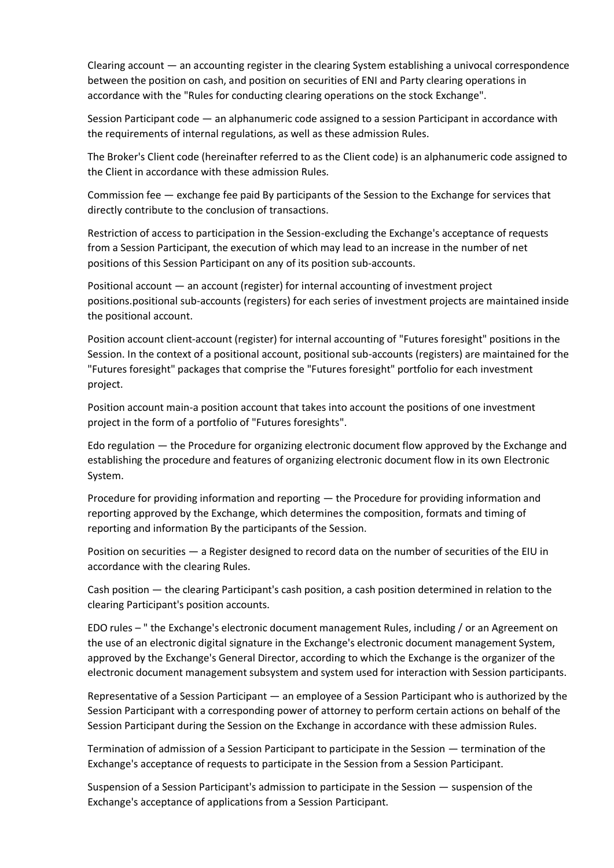Clearing account — an accounting register in the clearing System establishing a univocal correspondence between the position on cash, and position on securities of ENI and Party clearing operations in accordance with the "Rules for conducting clearing operations on the stock Exchange".

Session Participant code — an alphanumeric code assigned to a session Participant in accordance with the requirements of internal regulations, as well as these admission Rules.

The Broker's Client code (hereinafter referred to as the Client code) is an alphanumeric code assigned to the Client in accordance with these admission Rules.

Commission fee — exchange fee paid By participants of the Session to the Exchange for services that directly contribute to the conclusion of transactions.

Restriction of access to participation in the Session-excluding the Exchange's acceptance of requests from a Session Participant, the execution of which may lead to an increase in the number of net positions of this Session Participant on any of its position sub-accounts.

Positional account — an account (register) for internal accounting of investment project positions.positional sub-accounts (registers) for each series of investment projects are maintained inside the positional account.

Position account client-account (register) for internal accounting of "Futures foresight" positions in the Session. In the context of a positional account, positional sub-accounts (registers) are maintained for the "Futures foresight" packages that comprise the "Futures foresight" portfolio for each investment project.

Position account main-a position account that takes into account the positions of one investment project in the form of a portfolio of "Futures foresights".

Edo regulation — the Procedure for organizing electronic document flow approved by the Exchange and establishing the procedure and features of organizing electronic document flow in its own Electronic System.

Procedure for providing information and reporting — the Procedure for providing information and reporting approved by the Exchange, which determines the composition, formats and timing of reporting and information By the participants of the Session.

Position on securities — a Register designed to record data on the number of securities of the EIU in accordance with the clearing Rules.

Cash position — the clearing Participant's cash position, a cash position determined in relation to the clearing Participant's position accounts.

EDO rules – " the Exchange's electronic document management Rules, including / or an Agreement on the use of an electronic digital signature in the Exchange's electronic document management System, approved by the Exchange's General Director, according to which the Exchange is the organizer of the electronic document management subsystem and system used for interaction with Session participants.

Representative of a Session Participant — an employee of a Session Participant who is authorized by the Session Participant with a corresponding power of attorney to perform certain actions on behalf of the Session Participant during the Session on the Exchange in accordance with these admission Rules.

Termination of admission of a Session Participant to participate in the Session — termination of the Exchange's acceptance of requests to participate in the Session from a Session Participant.

Suspension of a Session Participant's admission to participate in the Session — suspension of the Exchange's acceptance of applications from a Session Participant.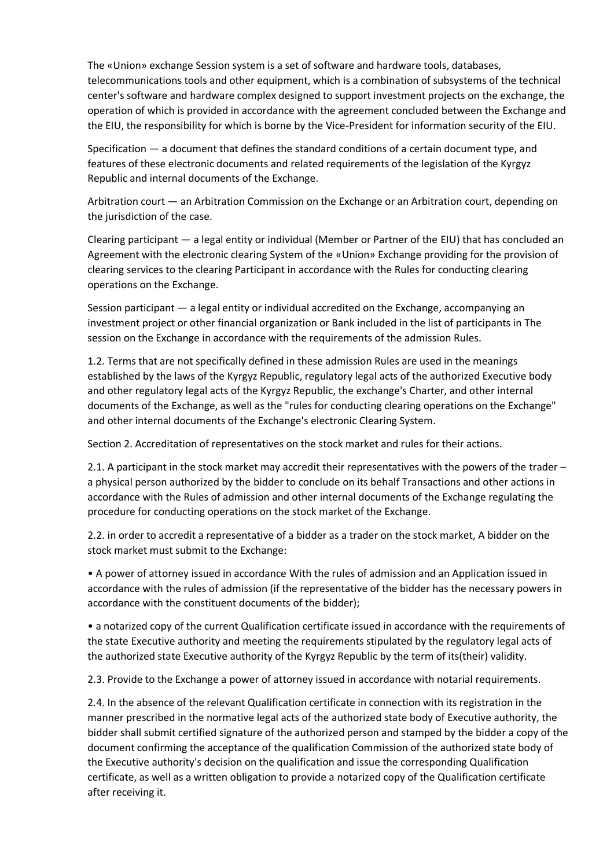The «Union» exchange Session system is a set of software and hardware tools, databases, telecommunications tools and other equipment, which is a combination of subsystems of the technical center's software and hardware complex designed to support investment projects on the exchange, the operation of which is provided in accordance with the agreement concluded between the Exchange and the EIU, the responsibility for which is borne by the Vice-President for information security of the EIU.

Specification — a document that defines the standard conditions of a certain document type, and features of these electronic documents and related requirements of the legislation of the Kyrgyz Republic and internal documents of the Exchange.

Arbitration court — an Arbitration Commission on the Exchange or an Arbitration court, depending on the jurisdiction of the case.

Clearing participant — a legal entity or individual (Member or Partner of the EIU) that has concluded an Agreement with the electronic clearing System of the «Union» Exchange providing for the provision of clearing services to the clearing Participant in accordance with the Rules for conducting clearing operations on the Exchange.

Session participant — a legal entity or individual accredited on the Exchange, accompanying an investment project or other financial organization or Bank included in the list of participants in The session on the Exchange in accordance with the requirements of the admission Rules.

1.2. Terms that are not specifically defined in these admission Rules are used in the meanings established by the laws of the Kyrgyz Republic, regulatory legal acts of the authorized Executive body and other regulatory legal acts of the Kyrgyz Republic, the exchange's Charter, and other internal documents of the Exchange, as well as the "rules for conducting clearing operations on the Exchange" and other internal documents of the Exchange's electronic Clearing System.

Section 2. Accreditation of representatives on the stock market and rules for their actions.

2.1. A participant in the stock market may accredit their representatives with the powers of the trader – a physical person authorized by the bidder to conclude on its behalf Transactions and other actions in accordance with the Rules of admission and other internal documents of the Exchange regulating the procedure for conducting operations on the stock market of the Exchange.

2.2. in order to accredit a representative of a bidder as a trader on the stock market, A bidder on the stock market must submit to the Exchange:

• A power of attorney issued in accordance With the rules of admission and an Application issued in accordance with the rules of admission (if the representative of the bidder has the necessary powers in accordance with the constituent documents of the bidder);

• a notarized copy of the current Qualification certificate issued in accordance with the requirements of the state Executive authority and meeting the requirements stipulated by the regulatory legal acts of the authorized state Executive authority of the Kyrgyz Republic by the term of its(their) validity.

2.3. Provide to the Exchange a power of attorney issued in accordance with notarial requirements.

2.4. In the absence of the relevant Qualification certificate in connection with its registration in the manner prescribed in the normative legal acts of the authorized state body of Executive authority, the bidder shall submit certified signature of the authorized person and stamped by the bidder a copy of the document confirming the acceptance of the qualification Commission of the authorized state body of the Executive authority's decision on the qualification and issue the corresponding Qualification certificate, as well as a written obligation to provide a notarized copy of the Qualification certificate after receiving it.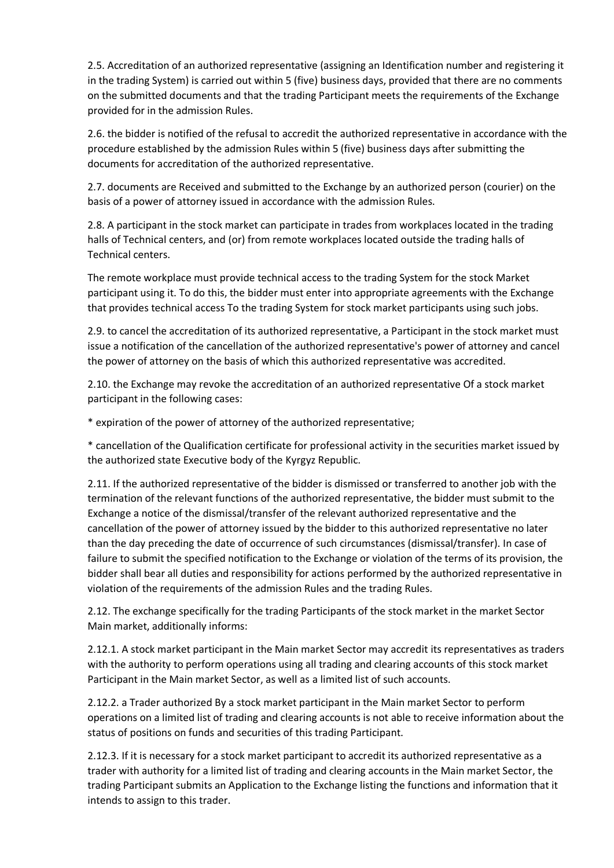2.5. Accreditation of an authorized representative (assigning an Identification number and registering it in the trading System) is carried out within 5 (five) business days, provided that there are no comments on the submitted documents and that the trading Participant meets the requirements of the Exchange provided for in the admission Rules.

2.6. the bidder is notified of the refusal to accredit the authorized representative in accordance with the procedure established by the admission Rules within 5 (five) business days after submitting the documents for accreditation of the authorized representative.

2.7. documents are Received and submitted to the Exchange by an authorized person (courier) on the basis of a power of attorney issued in accordance with the admission Rules.

2.8. A participant in the stock market can participate in trades from workplaces located in the trading halls of Technical centers, and (or) from remote workplaces located outside the trading halls of Technical centers.

The remote workplace must provide technical access to the trading System for the stock Market participant using it. To do this, the bidder must enter into appropriate agreements with the Exchange that provides technical access To the trading System for stock market participants using such jobs.

2.9. to cancel the accreditation of its authorized representative, a Participant in the stock market must issue a notification of the cancellation of the authorized representative's power of attorney and cancel the power of attorney on the basis of which this authorized representative was accredited.

2.10. the Exchange may revoke the accreditation of an authorized representative Of a stock market participant in the following cases:

\* expiration of the power of attorney of the authorized representative;

\* cancellation of the Qualification certificate for professional activity in the securities market issued by the authorized state Executive body of the Kyrgyz Republic.

2.11. If the authorized representative of the bidder is dismissed or transferred to another job with the termination of the relevant functions of the authorized representative, the bidder must submit to the Exchange a notice of the dismissal/transfer of the relevant authorized representative and the cancellation of the power of attorney issued by the bidder to this authorized representative no later than the day preceding the date of occurrence of such circumstances (dismissal/transfer). In case of failure to submit the specified notification to the Exchange or violation of the terms of its provision, the bidder shall bear all duties and responsibility for actions performed by the authorized representative in violation of the requirements of the admission Rules and the trading Rules.

2.12. The exchange specifically for the trading Participants of the stock market in the market Sector Main market, additionally informs:

2.12.1. A stock market participant in the Main market Sector may accredit its representatives as traders with the authority to perform operations using all trading and clearing accounts of this stock market Participant in the Main market Sector, as well as a limited list of such accounts.

2.12.2. a Trader authorized By a stock market participant in the Main market Sector to perform operations on a limited list of trading and clearing accounts is not able to receive information about the status of positions on funds and securities of this trading Participant.

2.12.3. If it is necessary for a stock market participant to accredit its authorized representative as a trader with authority for a limited list of trading and clearing accounts in the Main market Sector, the trading Participant submits an Application to the Exchange listing the functions and information that it intends to assign to this trader.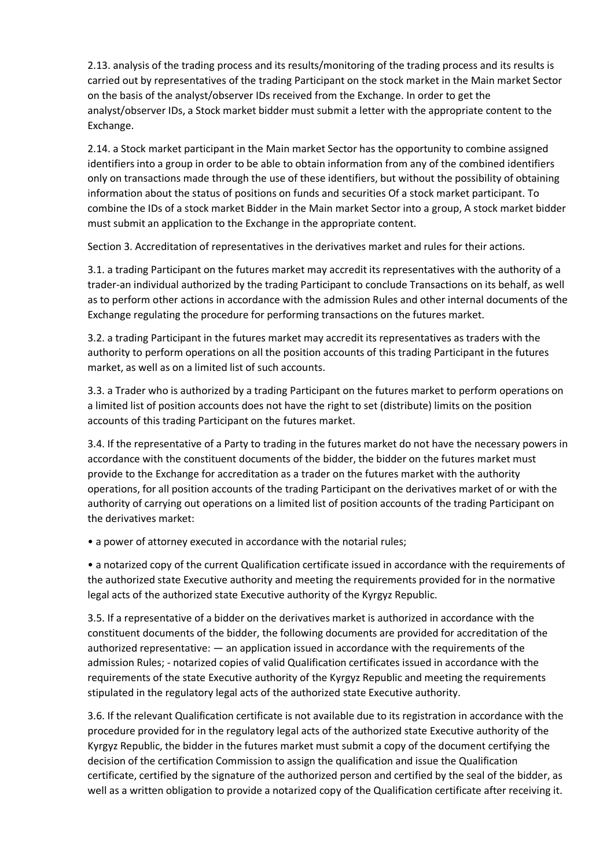2.13. analysis of the trading process and its results/monitoring of the trading process and its results is carried out by representatives of the trading Participant on the stock market in the Main market Sector on the basis of the analyst/observer IDs received from the Exchange. In order to get the analyst/observer IDs, a Stock market bidder must submit a letter with the appropriate content to the Exchange.

2.14. a Stock market participant in the Main market Sector has the opportunity to combine assigned identifiers into a group in order to be able to obtain information from any of the combined identifiers only on transactions made through the use of these identifiers, but without the possibility of obtaining information about the status of positions on funds and securities Of a stock market participant. To combine the IDs of a stock market Bidder in the Main market Sector into a group, A stock market bidder must submit an application to the Exchange in the appropriate content.

Section 3. Accreditation of representatives in the derivatives market and rules for their actions.

3.1. a trading Participant on the futures market may accredit its representatives with the authority of a trader-an individual authorized by the trading Participant to conclude Transactions on its behalf, as well as to perform other actions in accordance with the admission Rules and other internal documents of the Exchange regulating the procedure for performing transactions on the futures market.

3.2. a trading Participant in the futures market may accredit its representatives as traders with the authority to perform operations on all the position accounts of this trading Participant in the futures market, as well as on a limited list of such accounts.

3.3. a Trader who is authorized by a trading Participant on the futures market to perform operations on a limited list of position accounts does not have the right to set (distribute) limits on the position accounts of this trading Participant on the futures market.

3.4. If the representative of a Party to trading in the futures market do not have the necessary powers in accordance with the constituent documents of the bidder, the bidder on the futures market must provide to the Exchange for accreditation as a trader on the futures market with the authority operations, for all position accounts of the trading Participant on the derivatives market of or with the authority of carrying out operations on a limited list of position accounts of the trading Participant on the derivatives market:

• a power of attorney executed in accordance with the notarial rules;

• a notarized copy of the current Qualification certificate issued in accordance with the requirements of the authorized state Executive authority and meeting the requirements provided for in the normative legal acts of the authorized state Executive authority of the Kyrgyz Republic.

3.5. If a representative of a bidder on the derivatives market is authorized in accordance with the constituent documents of the bidder, the following documents are provided for accreditation of the authorized representative: — an application issued in accordance with the requirements of the admission Rules; - notarized copies of valid Qualification certificates issued in accordance with the requirements of the state Executive authority of the Kyrgyz Republic and meeting the requirements stipulated in the regulatory legal acts of the authorized state Executive authority.

3.6. If the relevant Qualification certificate is not available due to its registration in accordance with the procedure provided for in the regulatory legal acts of the authorized state Executive authority of the Kyrgyz Republic, the bidder in the futures market must submit a copy of the document certifying the decision of the certification Commission to assign the qualification and issue the Qualification certificate, certified by the signature of the authorized person and certified by the seal of the bidder, as well as a written obligation to provide a notarized copy of the Qualification certificate after receiving it.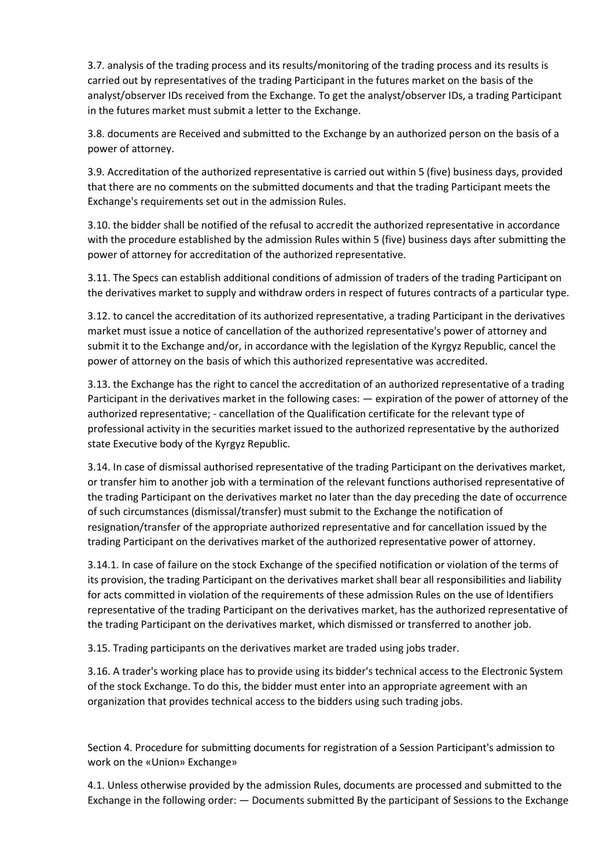3.7. analysis of the trading process and its results/monitoring of the trading process and its results is carried out by representatives of the trading Participant in the futures market on the basis of the analyst/observer IDs received from the Exchange. To get the analyst/observer IDs, a trading Participant in the futures market must submit a letter to the Exchange.

3.8. documents are Received and submitted to the Exchange by an authorized person on the basis of a power of attorney.

3.9. Accreditation of the authorized representative is carried out within 5 (five) business days, provided that there are no comments on the submitted documents and that the trading Participant meets the Exchange's requirements set out in the admission Rules.

3.10. the bidder shall be notified of the refusal to accredit the authorized representative in accordance with the procedure established by the admission Rules within 5 (five) business days after submitting the power of attorney for accreditation of the authorized representative.

3.11. The Specs can establish additional conditions of admission of traders of the trading Participant on the derivatives market to supply and withdraw orders in respect of futures contracts of a particular type.

3.12. to cancel the accreditation of its authorized representative, a trading Participant in the derivatives market must issue a notice of cancellation of the authorized representative's power of attorney and submit it to the Exchange and/or, in accordance with the legislation of the Kyrgyz Republic, cancel the power of attorney on the basis of which this authorized representative was accredited.

3.13. the Exchange has the right to cancel the accreditation of an authorized representative of a trading Participant in the derivatives market in the following cases: — expiration of the power of attorney of the authorized representative; - cancellation of the Qualification certificate for the relevant type of professional activity in the securities market issued to the authorized representative by the authorized state Executive body of the Kyrgyz Republic.

3.14. In case of dismissal authorised representative of the trading Participant on the derivatives market, or transfer him to another job with a termination of the relevant functions authorised representative of the trading Participant on the derivatives market no later than the day preceding the date of occurrence of such circumstances (dismissal/transfer) must submit to the Exchange the notification of resignation/transfer of the appropriate authorized representative and for cancellation issued by the trading Participant on the derivatives market of the authorized representative power of attorney.

3.14.1. In case of failure on the stock Exchange of the specified notification or violation of the terms of its provision, the trading Participant on the derivatives market shall bear all responsibilities and liability for acts committed in violation of the requirements of these admission Rules on the use of Identifiers representative of the trading Participant on the derivatives market, has the authorized representative of the trading Participant on the derivatives market, which dismissed or transferred to another job.

3.15. Trading participants on the derivatives market are traded using jobs trader.

3.16. A trader's working place has to provide using its bidder's technical access to the Electronic System of the stock Exchange. To do this, the bidder must enter into an appropriate agreement with an organization that provides technical access to the bidders using such trading jobs.

Section 4. Procedure for submitting documents for registration of a Session Participant's admission to work on the «Union» Exchange»

4.1. Unless otherwise provided by the admission Rules, documents are processed and submitted to the Exchange in the following order: — Documents submitted By the participant of Sessions to the Exchange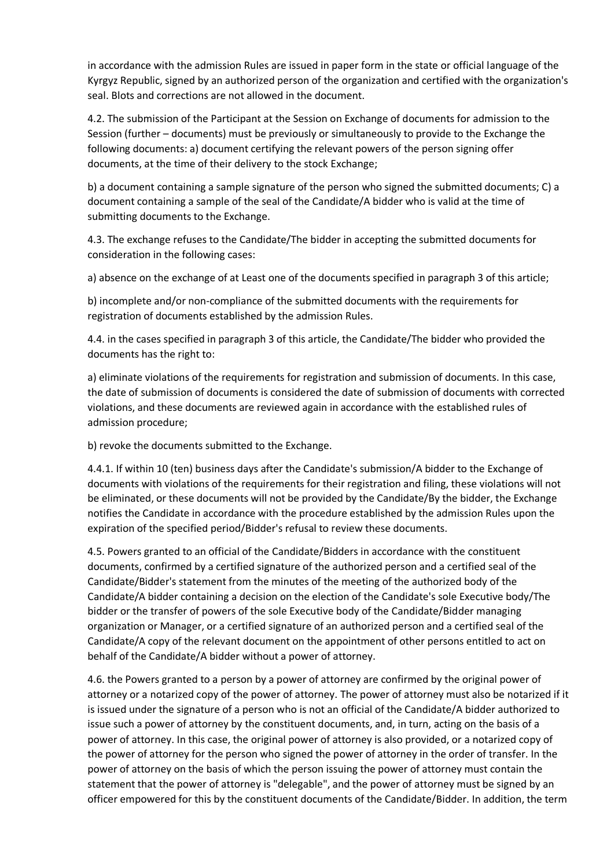in accordance with the admission Rules are issued in paper form in the state or official language of the Kyrgyz Republic, signed by an authorized person of the organization and certified with the organization's seal. Blots and corrections are not allowed in the document.

4.2. The submission of the Participant at the Session on Exchange of documents for admission to the Session (further – documents) must be previously or simultaneously to provide to the Exchange the following documents: a) document certifying the relevant powers of the person signing offer documents, at the time of their delivery to the stock Exchange;

b) a document containing a sample signature of the person who signed the submitted documents; C) a document containing a sample of the seal of the Candidate/A bidder who is valid at the time of submitting documents to the Exchange.

4.3. The exchange refuses to the Candidate/The bidder in accepting the submitted documents for consideration in the following cases:

a) absence on the exchange of at Least one of the documents specified in paragraph 3 of this article;

b) incomplete and/or non-compliance of the submitted documents with the requirements for registration of documents established by the admission Rules.

4.4. in the cases specified in paragraph 3 of this article, the Candidate/The bidder who provided the documents has the right to:

a) eliminate violations of the requirements for registration and submission of documents. In this case, the date of submission of documents is considered the date of submission of documents with corrected violations, and these documents are reviewed again in accordance with the established rules of admission procedure;

b) revoke the documents submitted to the Exchange.

4.4.1. If within 10 (ten) business days after the Candidate's submission/A bidder to the Exchange of documents with violations of the requirements for their registration and filing, these violations will not be eliminated, or these documents will not be provided by the Candidate/By the bidder, the Exchange notifies the Candidate in accordance with the procedure established by the admission Rules upon the expiration of the specified period/Bidder's refusal to review these documents.

4.5. Powers granted to an official of the Candidate/Bidders in accordance with the constituent documents, confirmed by a certified signature of the authorized person and a certified seal of the Candidate/Bidder's statement from the minutes of the meeting of the authorized body of the Candidate/A bidder containing a decision on the election of the Candidate's sole Executive body/The bidder or the transfer of powers of the sole Executive body of the Candidate/Bidder managing organization or Manager, or a certified signature of an authorized person and a certified seal of the Candidate/A copy of the relevant document on the appointment of other persons entitled to act on behalf of the Candidate/A bidder without a power of attorney.

4.6. the Powers granted to a person by a power of attorney are confirmed by the original power of attorney or a notarized copy of the power of attorney. The power of attorney must also be notarized if it is issued under the signature of a person who is not an official of the Candidate/A bidder authorized to issue such a power of attorney by the constituent documents, and, in turn, acting on the basis of a power of attorney. In this case, the original power of attorney is also provided, or a notarized copy of the power of attorney for the person who signed the power of attorney in the order of transfer. In the power of attorney on the basis of which the person issuing the power of attorney must contain the statement that the power of attorney is "delegable", and the power of attorney must be signed by an officer empowered for this by the constituent documents of the Candidate/Bidder. In addition, the term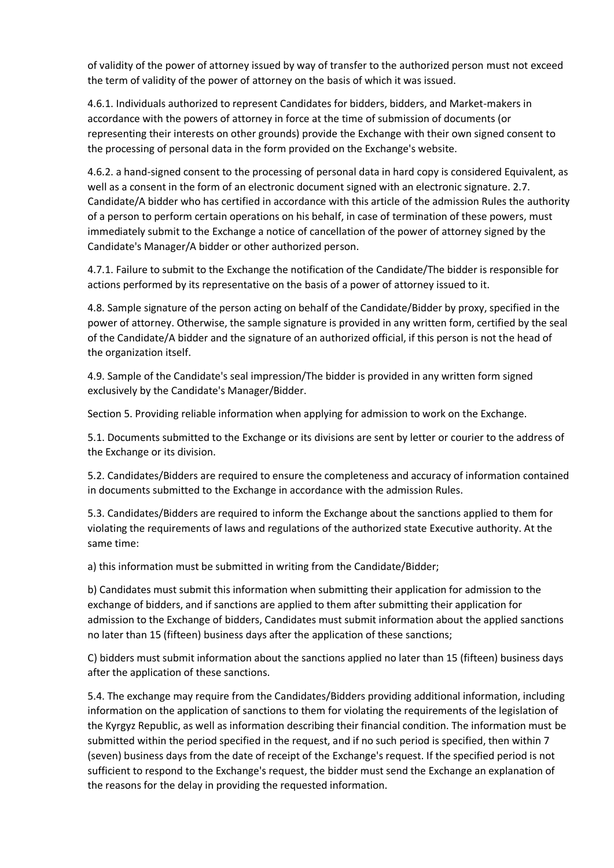of validity of the power of attorney issued by way of transfer to the authorized person must not exceed the term of validity of the power of attorney on the basis of which it was issued.

4.6.1. Individuals authorized to represent Candidates for bidders, bidders, and Market-makers in accordance with the powers of attorney in force at the time of submission of documents (or representing their interests on other grounds) provide the Exchange with their own signed consent to the processing of personal data in the form provided on the Exchange's website.

4.6.2. a hand-signed consent to the processing of personal data in hard copy is considered Equivalent, as well as a consent in the form of an electronic document signed with an electronic signature. 2.7. Candidate/A bidder who has certified in accordance with this article of the admission Rules the authority of a person to perform certain operations on his behalf, in case of termination of these powers, must immediately submit to the Exchange a notice of cancellation of the power of attorney signed by the Candidate's Manager/A bidder or other authorized person.

4.7.1. Failure to submit to the Exchange the notification of the Candidate/The bidder is responsible for actions performed by its representative on the basis of a power of attorney issued to it.

4.8. Sample signature of the person acting on behalf of the Candidate/Bidder by proxy, specified in the power of attorney. Otherwise, the sample signature is provided in any written form, certified by the seal of the Candidate/A bidder and the signature of an authorized official, if this person is not the head of the organization itself.

4.9. Sample of the Candidate's seal impression/The bidder is provided in any written form signed exclusively by the Candidate's Manager/Bidder.

Section 5. Providing reliable information when applying for admission to work on the Exchange.

5.1. Documents submitted to the Exchange or its divisions are sent by letter or courier to the address of the Exchange or its division.

5.2. Candidates/Bidders are required to ensure the completeness and accuracy of information contained in documents submitted to the Exchange in accordance with the admission Rules.

5.3. Candidates/Bidders are required to inform the Exchange about the sanctions applied to them for violating the requirements of laws and regulations of the authorized state Executive authority. At the same time:

a) this information must be submitted in writing from the Candidate/Bidder;

b) Candidates must submit this information when submitting their application for admission to the exchange of bidders, and if sanctions are applied to them after submitting their application for admission to the Exchange of bidders, Candidates must submit information about the applied sanctions no later than 15 (fifteen) business days after the application of these sanctions;

C) bidders must submit information about the sanctions applied no later than 15 (fifteen) business days after the application of these sanctions.

5.4. The exchange may require from the Candidates/Bidders providing additional information, including information on the application of sanctions to them for violating the requirements of the legislation of the Kyrgyz Republic, as well as information describing their financial condition. The information must be submitted within the period specified in the request, and if no such period is specified, then within 7 (seven) business days from the date of receipt of the Exchange's request. If the specified period is not sufficient to respond to the Exchange's request, the bidder must send the Exchange an explanation of the reasons for the delay in providing the requested information.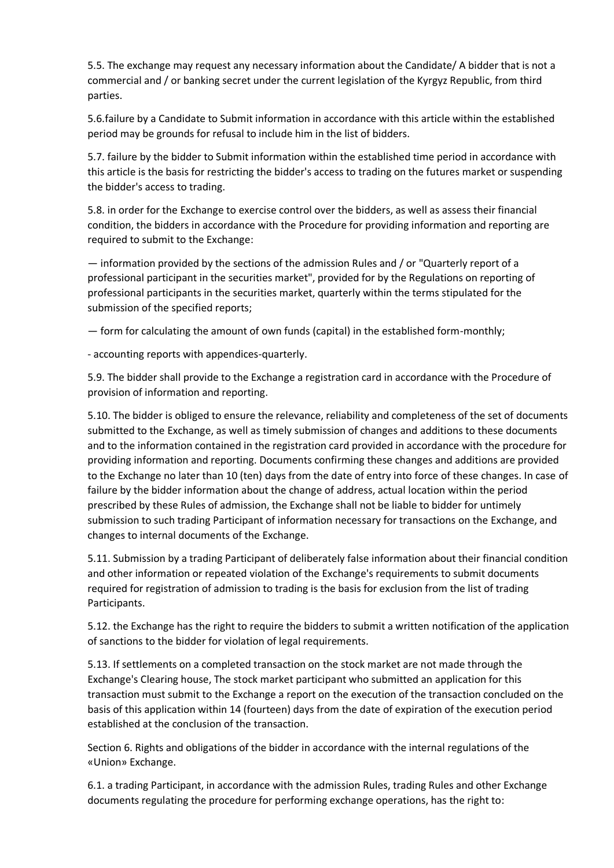5.5. The exchange may request any necessary information about the Candidate/ A bidder that is not a commercial and / or banking secret under the current legislation of the Kyrgyz Republic, from third parties.

5.6.failure by a Candidate to Submit information in accordance with this article within the established period may be grounds for refusal to include him in the list of bidders.

5.7. failure by the bidder to Submit information within the established time period in accordance with this article is the basis for restricting the bidder's access to trading on the futures market or suspending the bidder's access to trading.

5.8. in order for the Exchange to exercise control over the bidders, as well as assess their financial condition, the bidders in accordance with the Procedure for providing information and reporting are required to submit to the Exchange:

— information provided by the sections of the admission Rules and / or "Quarterly report of a professional participant in the securities market", provided for by the Regulations on reporting of professional participants in the securities market, quarterly within the terms stipulated for the submission of the specified reports;

— form for calculating the amount of own funds (capital) in the established form-monthly;

- accounting reports with appendices-quarterly.

5.9. The bidder shall provide to the Exchange a registration card in accordance with the Procedure of provision of information and reporting.

5.10. The bidder is obliged to ensure the relevance, reliability and completeness of the set of documents submitted to the Exchange, as well as timely submission of changes and additions to these documents and to the information contained in the registration card provided in accordance with the procedure for providing information and reporting. Documents confirming these changes and additions are provided to the Exchange no later than 10 (ten) days from the date of entry into force of these changes. In case of failure by the bidder information about the change of address, actual location within the period prescribed by these Rules of admission, the Exchange shall not be liable to bidder for untimely submission to such trading Participant of information necessary for transactions on the Exchange, and changes to internal documents of the Exchange.

5.11. Submission by a trading Participant of deliberately false information about their financial condition and other information or repeated violation of the Exchange's requirements to submit documents required for registration of admission to trading is the basis for exclusion from the list of trading Participants.

5.12. the Exchange has the right to require the bidders to submit a written notification of the application of sanctions to the bidder for violation of legal requirements.

5.13. If settlements on a completed transaction on the stock market are not made through the Exchange's Clearing house, The stock market participant who submitted an application for this transaction must submit to the Exchange a report on the execution of the transaction concluded on the basis of this application within 14 (fourteen) days from the date of expiration of the execution period established at the conclusion of the transaction.

Section 6. Rights and obligations of the bidder in accordance with the internal regulations of the «Union» Exchange.

6.1. a trading Participant, in accordance with the admission Rules, trading Rules and other Exchange documents regulating the procedure for performing exchange operations, has the right to: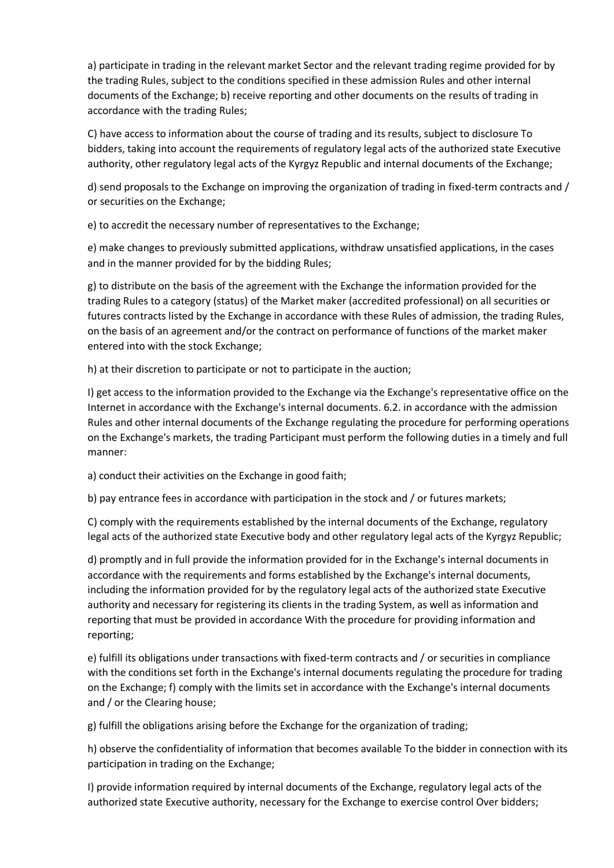a) participate in trading in the relevant market Sector and the relevant trading regime provided for by the trading Rules, subject to the conditions specified in these admission Rules and other internal documents of the Exchange; b) receive reporting and other documents on the results of trading in accordance with the trading Rules;

C) have access to information about the course of trading and its results, subject to disclosure To bidders, taking into account the requirements of regulatory legal acts of the authorized state Executive authority, other regulatory legal acts of the Kyrgyz Republic and internal documents of the Exchange;

d) send proposals to the Exchange on improving the organization of trading in fixed-term contracts and / or securities on the Exchange;

e) to accredit the necessary number of representatives to the Exchange;

e) make changes to previously submitted applications, withdraw unsatisfied applications, in the cases and in the manner provided for by the bidding Rules;

g) to distribute on the basis of the agreement with the Exchange the information provided for the trading Rules to a category (status) of the Market maker (accredited professional) on all securities or futures contracts listed by the Exchange in accordance with these Rules of admission, the trading Rules, on the basis of an agreement and/or the contract on performance of functions of the market maker entered into with the stock Exchange;

h) at their discretion to participate or not to participate in the auction;

I) get access to the information provided to the Exchange via the Exchange's representative office on the Internet in accordance with the Exchange's internal documents. 6.2. in accordance with the admission Rules and other internal documents of the Exchange regulating the procedure for performing operations on the Exchange's markets, the trading Participant must perform the following duties in a timely and full manner:

a) conduct their activities on the Exchange in good faith;

b) pay entrance fees in accordance with participation in the stock and / or futures markets;

C) comply with the requirements established by the internal documents of the Exchange, regulatory legal acts of the authorized state Executive body and other regulatory legal acts of the Kyrgyz Republic;

d) promptly and in full provide the information provided for in the Exchange's internal documents in accordance with the requirements and forms established by the Exchange's internal documents, including the information provided for by the regulatory legal acts of the authorized state Executive authority and necessary for registering its clients in the trading System, as well as information and reporting that must be provided in accordance With the procedure for providing information and reporting;

e) fulfill its obligations under transactions with fixed-term contracts and / or securities in compliance with the conditions set forth in the Exchange's internal documents regulating the procedure for trading on the Exchange; f) comply with the limits set in accordance with the Exchange's internal documents and / or the Clearing house;

g) fulfill the obligations arising before the Exchange for the organization of trading;

h) observe the confidentiality of information that becomes available To the bidder in connection with its participation in trading on the Exchange;

I) provide information required by internal documents of the Exchange, regulatory legal acts of the authorized state Executive authority, necessary for the Exchange to exercise control Over bidders;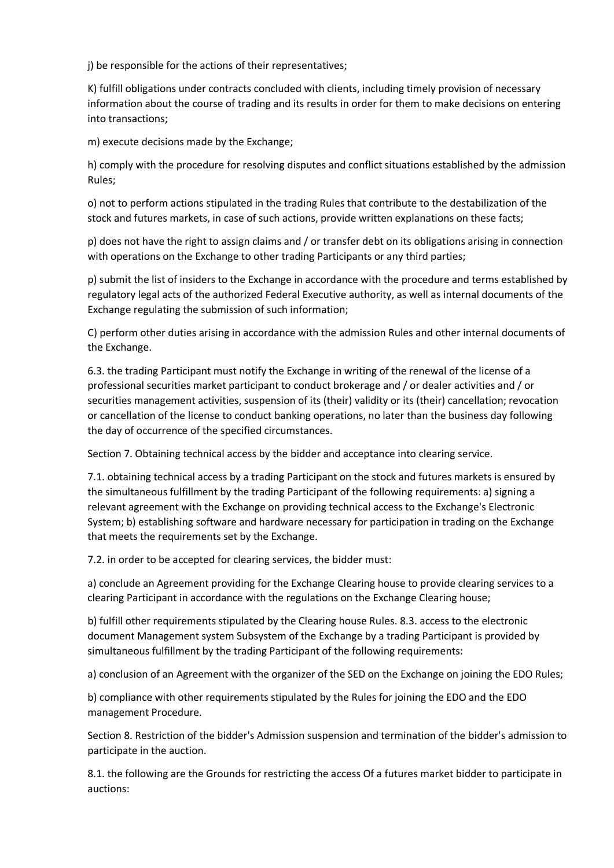j) be responsible for the actions of their representatives;

K) fulfill obligations under contracts concluded with clients, including timely provision of necessary information about the course of trading and its results in order for them to make decisions on entering into transactions;

m) execute decisions made by the Exchange;

h) comply with the procedure for resolving disputes and conflict situations established by the admission Rules;

o) not to perform actions stipulated in the trading Rules that contribute to the destabilization of the stock and futures markets, in case of such actions, provide written explanations on these facts;

p) does not have the right to assign claims and / or transfer debt on its obligations arising in connection with operations on the Exchange to other trading Participants or any third parties;

p) submit the list of insiders to the Exchange in accordance with the procedure and terms established by regulatory legal acts of the authorized Federal Executive authority, as well as internal documents of the Exchange regulating the submission of such information;

C) perform other duties arising in accordance with the admission Rules and other internal documents of the Exchange.

6.3. the trading Participant must notify the Exchange in writing of the renewal of the license of a professional securities market participant to conduct brokerage and / or dealer activities and / or securities management activities, suspension of its (their) validity or its (their) cancellation; revocation or cancellation of the license to conduct banking operations, no later than the business day following the day of occurrence of the specified circumstances.

Section 7. Obtaining technical access by the bidder and acceptance into clearing service.

7.1. obtaining technical access by a trading Participant on the stock and futures markets is ensured by the simultaneous fulfillment by the trading Participant of the following requirements: a) signing a relevant agreement with the Exchange on providing technical access to the Exchange's Electronic System; b) establishing software and hardware necessary for participation in trading on the Exchange that meets the requirements set by the Exchange.

7.2. in order to be accepted for clearing services, the bidder must:

a) conclude an Agreement providing for the Exchange Clearing house to provide clearing services to a clearing Participant in accordance with the regulations on the Exchange Clearing house;

b) fulfill other requirements stipulated by the Clearing house Rules. 8.3. access to the electronic document Management system Subsystem of the Exchange by a trading Participant is provided by simultaneous fulfillment by the trading Participant of the following requirements:

a) conclusion of an Agreement with the organizer of the SED on the Exchange on joining the EDO Rules;

b) compliance with other requirements stipulated by the Rules for joining the EDO and the EDO management Procedure.

Section 8. Restriction of the bidder's Admission suspension and termination of the bidder's admission to participate in the auction.

8.1. the following are the Grounds for restricting the access Of a futures market bidder to participate in auctions: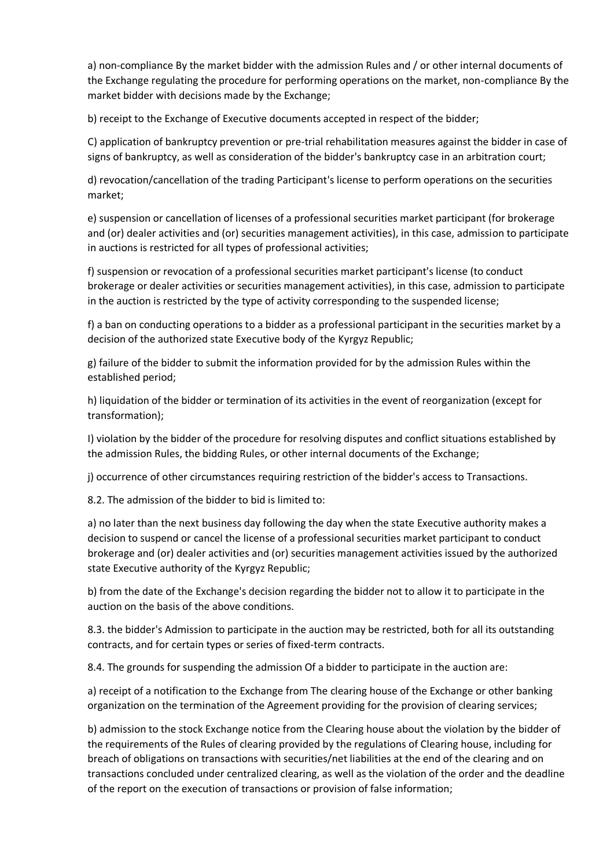a) non-compliance By the market bidder with the admission Rules and / or other internal documents of the Exchange regulating the procedure for performing operations on the market, non-compliance By the market bidder with decisions made by the Exchange;

b) receipt to the Exchange of Executive documents accepted in respect of the bidder;

C) application of bankruptcy prevention or pre-trial rehabilitation measures against the bidder in case of signs of bankruptcy, as well as consideration of the bidder's bankruptcy case in an arbitration court;

d) revocation/cancellation of the trading Participant's license to perform operations on the securities market;

e) suspension or cancellation of licenses of a professional securities market participant (for brokerage and (or) dealer activities and (or) securities management activities), in this case, admission to participate in auctions is restricted for all types of professional activities;

f) suspension or revocation of a professional securities market participant's license (to conduct brokerage or dealer activities or securities management activities), in this case, admission to participate in the auction is restricted by the type of activity corresponding to the suspended license;

f) a ban on conducting operations to a bidder as a professional participant in the securities market by a decision of the authorized state Executive body of the Kyrgyz Republic;

g) failure of the bidder to submit the information provided for by the admission Rules within the established period;

h) liquidation of the bidder or termination of its activities in the event of reorganization (except for transformation);

I) violation by the bidder of the procedure for resolving disputes and conflict situations established by the admission Rules, the bidding Rules, or other internal documents of the Exchange;

j) occurrence of other circumstances requiring restriction of the bidder's access to Transactions.

8.2. The admission of the bidder to bid is limited to:

a) no later than the next business day following the day when the state Executive authority makes a decision to suspend or cancel the license of a professional securities market participant to conduct brokerage and (or) dealer activities and (or) securities management activities issued by the authorized state Executive authority of the Kyrgyz Republic;

b) from the date of the Exchange's decision regarding the bidder not to allow it to participate in the auction on the basis of the above conditions.

8.3. the bidder's Admission to participate in the auction may be restricted, both for all its outstanding contracts, and for certain types or series of fixed-term contracts.

8.4. The grounds for suspending the admission Of a bidder to participate in the auction are:

a) receipt of a notification to the Exchange from The clearing house of the Exchange or other banking organization on the termination of the Agreement providing for the provision of clearing services;

b) admission to the stock Exchange notice from the Clearing house about the violation by the bidder of the requirements of the Rules of clearing provided by the regulations of Clearing house, including for breach of obligations on transactions with securities/net liabilities at the end of the clearing and on transactions concluded under centralized clearing, as well as the violation of the order and the deadline of the report on the execution of transactions or provision of false information;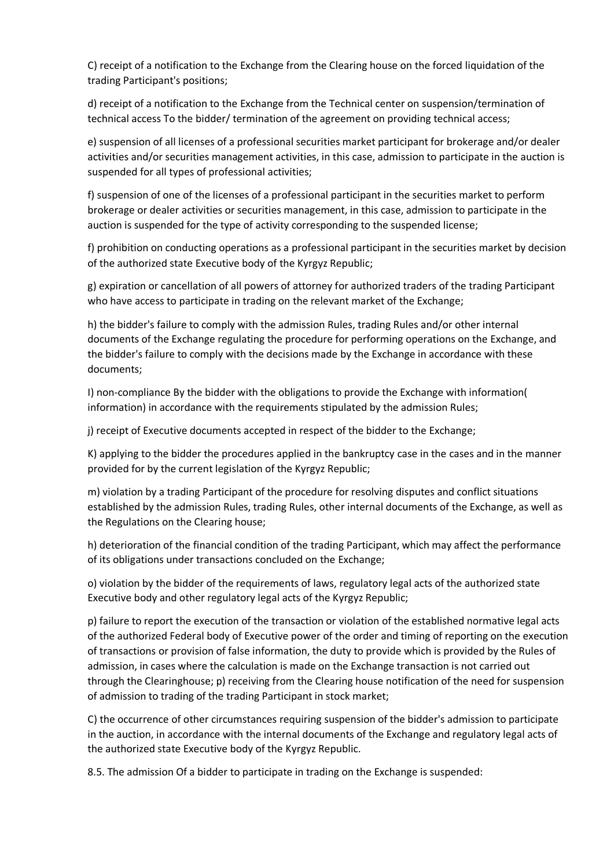C) receipt of a notification to the Exchange from the Clearing house on the forced liquidation of the trading Participant's positions;

d) receipt of a notification to the Exchange from the Technical center on suspension/termination of technical access To the bidder/ termination of the agreement on providing technical access;

e) suspension of all licenses of a professional securities market participant for brokerage and/or dealer activities and/or securities management activities, in this case, admission to participate in the auction is suspended for all types of professional activities;

f) suspension of one of the licenses of a professional participant in the securities market to perform brokerage or dealer activities or securities management, in this case, admission to participate in the auction is suspended for the type of activity corresponding to the suspended license;

f) prohibition on conducting operations as a professional participant in the securities market by decision of the authorized state Executive body of the Kyrgyz Republic;

g) expiration or cancellation of all powers of attorney for authorized traders of the trading Participant who have access to participate in trading on the relevant market of the Exchange;

h) the bidder's failure to comply with the admission Rules, trading Rules and/or other internal documents of the Exchange regulating the procedure for performing operations on the Exchange, and the bidder's failure to comply with the decisions made by the Exchange in accordance with these documents;

I) non-compliance By the bidder with the obligations to provide the Exchange with information( information) in accordance with the requirements stipulated by the admission Rules;

j) receipt of Executive documents accepted in respect of the bidder to the Exchange;

K) applying to the bidder the procedures applied in the bankruptcy case in the cases and in the manner provided for by the current legislation of the Kyrgyz Republic;

m) violation by a trading Participant of the procedure for resolving disputes and conflict situations established by the admission Rules, trading Rules, other internal documents of the Exchange, as well as the Regulations on the Clearing house;

h) deterioration of the financial condition of the trading Participant, which may affect the performance of its obligations under transactions concluded on the Exchange;

o) violation by the bidder of the requirements of laws, regulatory legal acts of the authorized state Executive body and other regulatory legal acts of the Kyrgyz Republic;

p) failure to report the execution of the transaction or violation of the established normative legal acts of the authorized Federal body of Executive power of the order and timing of reporting on the execution of transactions or provision of false information, the duty to provide which is provided by the Rules of admission, in cases where the calculation is made on the Exchange transaction is not carried out through the Clearinghouse; p) receiving from the Clearing house notification of the need for suspension of admission to trading of the trading Participant in stock market;

C) the occurrence of other circumstances requiring suspension of the bidder's admission to participate in the auction, in accordance with the internal documents of the Exchange and regulatory legal acts of the authorized state Executive body of the Kyrgyz Republic.

8.5. The admission Of a bidder to participate in trading on the Exchange is suspended: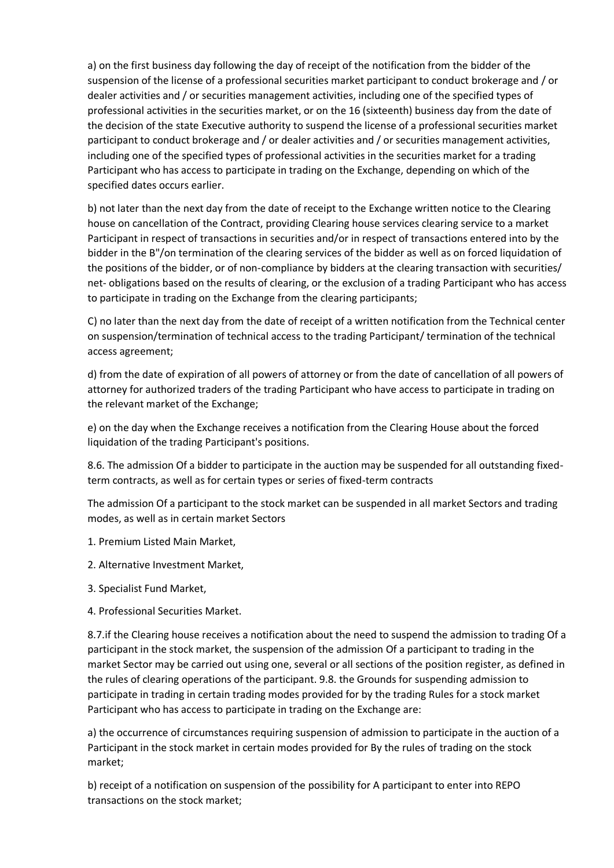a) on the first business day following the day of receipt of the notification from the bidder of the suspension of the license of a professional securities market participant to conduct brokerage and / or dealer activities and / or securities management activities, including one of the specified types of professional activities in the securities market, or on the 16 (sixteenth) business day from the date of the decision of the state Executive authority to suspend the license of a professional securities market participant to conduct brokerage and / or dealer activities and / or securities management activities, including one of the specified types of professional activities in the securities market for a trading Participant who has access to participate in trading on the Exchange, depending on which of the specified dates occurs earlier.

b) not later than the next day from the date of receipt to the Exchange written notice to the Clearing house on cancellation of the Contract, providing Clearing house services clearing service to a market Participant in respect of transactions in securities and/or in respect of transactions entered into by the bidder in the B"/on termination of the clearing services of the bidder as well as on forced liquidation of the positions of the bidder, or of non-compliance by bidders at the clearing transaction with securities/ net- obligations based on the results of clearing, or the exclusion of a trading Participant who has access to participate in trading on the Exchange from the clearing participants;

C) no later than the next day from the date of receipt of a written notification from the Technical center on suspension/termination of technical access to the trading Participant/ termination of the technical access agreement;

d) from the date of expiration of all powers of attorney or from the date of cancellation of all powers of attorney for authorized traders of the trading Participant who have access to participate in trading on the relevant market of the Exchange;

e) on the day when the Exchange receives a notification from the Clearing House about the forced liquidation of the trading Participant's positions.

8.6. The admission Of a bidder to participate in the auction may be suspended for all outstanding fixedterm contracts, as well as for certain types or series of fixed-term contracts

The admission Of a participant to the stock market can be suspended in all market Sectors and trading modes, as well as in certain market Sectors

- 1. Premium Listed Main Market,
- 2. Alternative Investment Market,
- 3. Specialist Fund Market,
- 4. Professional Securities Market.

8.7.if the Clearing house receives a notification about the need to suspend the admission to trading Of a participant in the stock market, the suspension of the admission Of a participant to trading in the market Sector may be carried out using one, several or all sections of the position register, as defined in the rules of clearing operations of the participant. 9.8. the Grounds for suspending admission to participate in trading in certain trading modes provided for by the trading Rules for a stock market Participant who has access to participate in trading on the Exchange are:

a) the occurrence of circumstances requiring suspension of admission to participate in the auction of a Participant in the stock market in certain modes provided for By the rules of trading on the stock market;

b) receipt of a notification on suspension of the possibility for A participant to enter into REPO transactions on the stock market;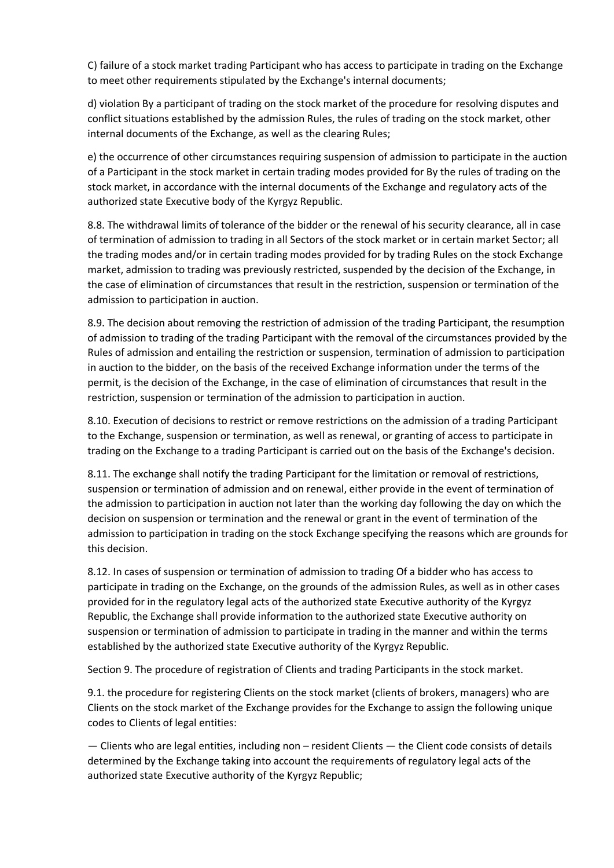C) failure of a stock market trading Participant who has access to participate in trading on the Exchange to meet other requirements stipulated by the Exchange's internal documents;

d) violation By a participant of trading on the stock market of the procedure for resolving disputes and conflict situations established by the admission Rules, the rules of trading on the stock market, other internal documents of the Exchange, as well as the clearing Rules;

e) the occurrence of other circumstances requiring suspension of admission to participate in the auction of a Participant in the stock market in certain trading modes provided for By the rules of trading on the stock market, in accordance with the internal documents of the Exchange and regulatory acts of the authorized state Executive body of the Kyrgyz Republic.

8.8. The withdrawal limits of tolerance of the bidder or the renewal of his security clearance, all in case of termination of admission to trading in all Sectors of the stock market or in certain market Sector; all the trading modes and/or in certain trading modes provided for by trading Rules on the stock Exchange market, admission to trading was previously restricted, suspended by the decision of the Exchange, in the case of elimination of circumstances that result in the restriction, suspension or termination of the admission to participation in auction.

8.9. The decision about removing the restriction of admission of the trading Participant, the resumption of admission to trading of the trading Participant with the removal of the circumstances provided by the Rules of admission and entailing the restriction or suspension, termination of admission to participation in auction to the bidder, on the basis of the received Exchange information under the terms of the permit, is the decision of the Exchange, in the case of elimination of circumstances that result in the restriction, suspension or termination of the admission to participation in auction.

8.10. Execution of decisions to restrict or remove restrictions on the admission of a trading Participant to the Exchange, suspension or termination, as well as renewal, or granting of access to participate in trading on the Exchange to a trading Participant is carried out on the basis of the Exchange's decision.

8.11. The exchange shall notify the trading Participant for the limitation or removal of restrictions, suspension or termination of admission and on renewal, either provide in the event of termination of the admission to participation in auction not later than the working day following the day on which the decision on suspension or termination and the renewal or grant in the event of termination of the admission to participation in trading on the stock Exchange specifying the reasons which are grounds for this decision.

8.12. In cases of suspension or termination of admission to trading Of a bidder who has access to participate in trading on the Exchange, on the grounds of the admission Rules, as well as in other cases provided for in the regulatory legal acts of the authorized state Executive authority of the Kyrgyz Republic, the Exchange shall provide information to the authorized state Executive authority on suspension or termination of admission to participate in trading in the manner and within the terms established by the authorized state Executive authority of the Kyrgyz Republic.

Section 9. The procedure of registration of Clients and trading Participants in the stock market.

9.1. the procedure for registering Clients on the stock market (clients of brokers, managers) who are Clients on the stock market of the Exchange provides for the Exchange to assign the following unique codes to Clients of legal entities:

— Clients who are legal entities, including non – resident Clients — the Client code consists of details determined by the Exchange taking into account the requirements of regulatory legal acts of the authorized state Executive authority of the Kyrgyz Republic;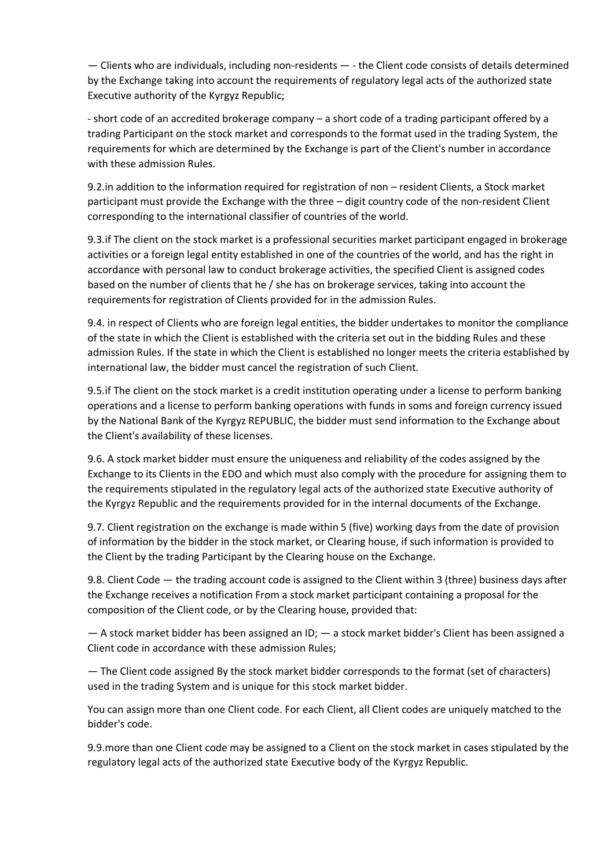— Clients who are individuals, including non-residents — - the Client code consists of details determined by the Exchange taking into account the requirements of regulatory legal acts of the authorized state Executive authority of the Kyrgyz Republic;

- short code of an accredited brokerage company – a short code of a trading participant offered by a trading Participant on the stock market and corresponds to the format used in the trading System, the requirements for which are determined by the Exchange is part of the Client's number in accordance with these admission Rules.

9.2.in addition to the information required for registration of non – resident Clients, a Stock market participant must provide the Exchange with the three – digit country code of the non-resident Client corresponding to the international classifier of countries of the world.

9.3.if The client on the stock market is a professional securities market participant engaged in brokerage activities or a foreign legal entity established in one of the countries of the world, and has the right in accordance with personal law to conduct brokerage activities, the specified Client is assigned codes based on the number of clients that he / she has on brokerage services, taking into account the requirements for registration of Clients provided for in the admission Rules.

9.4. in respect of Clients who are foreign legal entities, the bidder undertakes to monitor the compliance of the state in which the Client is established with the criteria set out in the bidding Rules and these admission Rules. If the state in which the Client is established no longer meets the criteria established by international law, the bidder must cancel the registration of such Client.

9.5.if The client on the stock market is a credit institution operating under a license to perform banking operations and a license to perform banking operations with funds in soms and foreign currency issued by the National Bank of the Kyrgyz REPUBLIC, the bidder must send information to the Exchange about the Client's availability of these licenses.

9.6. A stock market bidder must ensure the uniqueness and reliability of the codes assigned by the Exchange to its Clients in the EDO and which must also comply with the procedure for assigning them to the requirements stipulated in the regulatory legal acts of the authorized state Executive authority of the Kyrgyz Republic and the requirements provided for in the internal documents of the Exchange.

9.7. Client registration on the exchange is made within 5 (five) working days from the date of provision of information by the bidder in the stock market, or Clearing house, if such information is provided to the Client by the trading Participant by the Clearing house on the Exchange.

9.8. Client Code — the trading account code is assigned to the Client within 3 (three) business days after the Exchange receives a notification From a stock market participant containing a proposal for the composition of the Client code, or by the Clearing house, provided that:

— A stock market bidder has been assigned an ID; — a stock market bidder's Client has been assigned a Client code in accordance with these admission Rules;

— The Client code assigned By the stock market bidder corresponds to the format (set of characters) used in the trading System and is unique for this stock market bidder.

You can assign more than one Client code. For each Client, all Client codes are uniquely matched to the bidder's code.

9.9.more than one Client code may be assigned to a Client on the stock market in cases stipulated by the regulatory legal acts of the authorized state Executive body of the Kyrgyz Republic.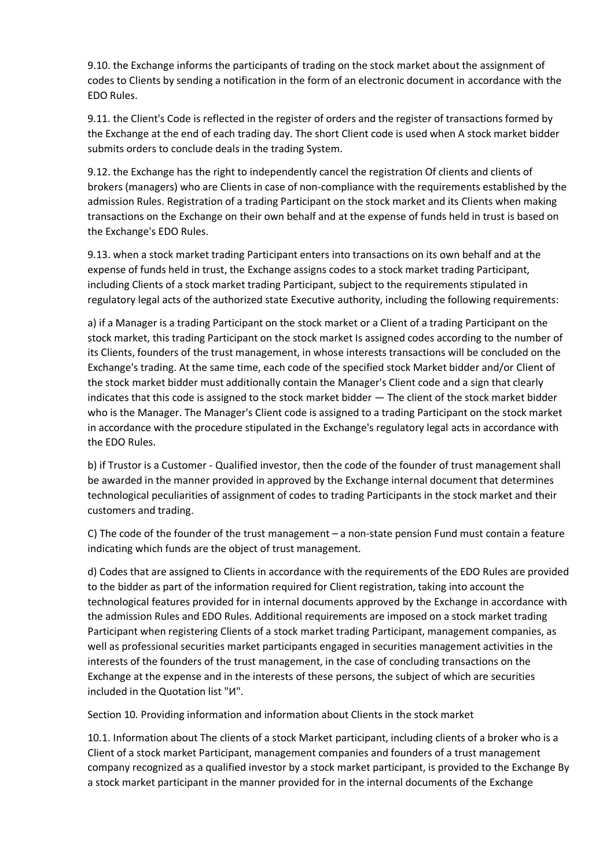9.10. the Exchange informs the participants of trading on the stock market about the assignment of codes to Clients by sending a notification in the form of an electronic document in accordance with the EDO Rules.

9.11. the Client's Code is reflected in the register of orders and the register of transactions formed by the Exchange at the end of each trading day. The short Client code is used when A stock market bidder submits orders to conclude deals in the trading System.

9.12. the Exchange has the right to independently cancel the registration Of clients and clients of brokers (managers) who are Clients in case of non-compliance with the requirements established by the admission Rules. Registration of a trading Participant on the stock market and its Clients when making transactions on the Exchange on their own behalf and at the expense of funds held in trust is based on the Exchange's EDO Rules.

9.13. when a stock market trading Participant enters into transactions on its own behalf and at the expense of funds held in trust, the Exchange assigns codes to a stock market trading Participant, including Clients of a stock market trading Participant, subject to the requirements stipulated in regulatory legal acts of the authorized state Executive authority, including the following requirements:

a) if a Manager is a trading Participant on the stock market or a Client of a trading Participant on the stock market, this trading Participant on the stock market Is assigned codes according to the number of its Clients, founders of the trust management, in whose interests transactions will be concluded on the Exchange's trading. At the same time, each code of the specified stock Market bidder and/or Client of the stock market bidder must additionally contain the Manager's Client code and a sign that clearly indicates that this code is assigned to the stock market bidder — The client of the stock market bidder who is the Manager. The Manager's Client code is assigned to a trading Participant on the stock market in accordance with the procedure stipulated in the Exchange's regulatory legal acts in accordance with the EDO Rules.

b) if Trustor is a Customer - Qualified investor, then the code of the founder of trust management shall be awarded in the manner provided in approved by the Exchange internal document that determines technological peculiarities of assignment of codes to trading Participants in the stock market and their customers and trading.

C) The code of the founder of the trust management – a non-state pension Fund must contain a feature indicating which funds are the object of trust management.

d) Codes that are assigned to Clients in accordance with the requirements of the EDO Rules are provided to the bidder as part of the information required for Client registration, taking into account the technological features provided for in internal documents approved by the Exchange in accordance with the admission Rules and EDO Rules. Additional requirements are imposed on a stock market trading Participant when registering Clients of a stock market trading Participant, management companies, as well as professional securities market participants engaged in securities management activities in the interests of the founders of the trust management, in the case of concluding transactions on the Exchange at the expense and in the interests of these persons, the subject of which are securities included in the Quotation list "И".

Section 10. Providing information and information about Clients in the stock market

10.1. Information about The clients of a stock Market participant, including clients of a broker who is a Client of a stock market Participant, management companies and founders of a trust management company recognized as a qualified investor by a stock market participant, is provided to the Exchange By a stock market participant in the manner provided for in the internal documents of the Exchange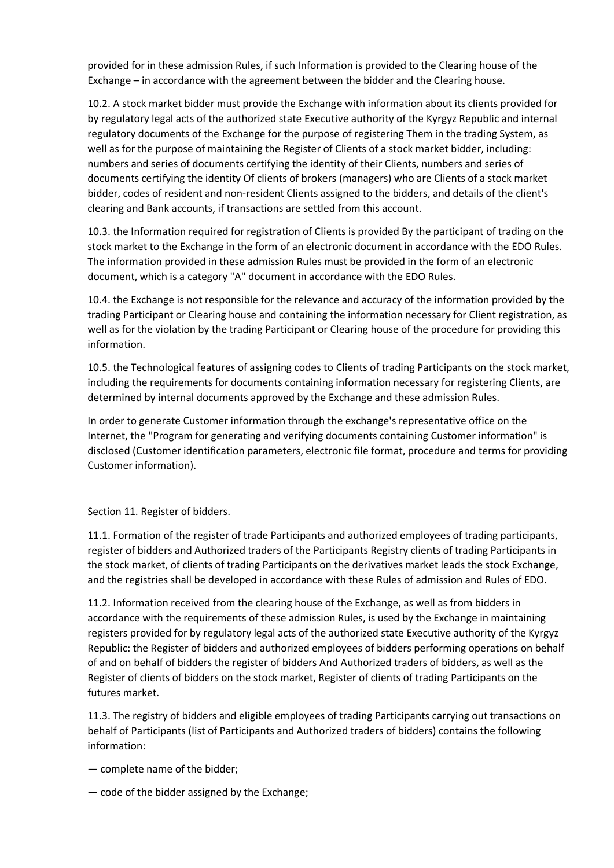provided for in these admission Rules, if such Information is provided to the Clearing house of the Exchange – in accordance with the agreement between the bidder and the Clearing house.

10.2. A stock market bidder must provide the Exchange with information about its clients provided for by regulatory legal acts of the authorized state Executive authority of the Kyrgyz Republic and internal regulatory documents of the Exchange for the purpose of registering Them in the trading System, as well as for the purpose of maintaining the Register of Clients of a stock market bidder, including: numbers and series of documents certifying the identity of their Clients, numbers and series of documents certifying the identity Of clients of brokers (managers) who are Clients of a stock market bidder, codes of resident and non-resident Clients assigned to the bidders, and details of the client's clearing and Bank accounts, if transactions are settled from this account.

10.3. the Information required for registration of Clients is provided By the participant of trading on the stock market to the Exchange in the form of an electronic document in accordance with the EDO Rules. The information provided in these admission Rules must be provided in the form of an electronic document, which is a category "A" document in accordance with the EDO Rules.

10.4. the Exchange is not responsible for the relevance and accuracy of the information provided by the trading Participant or Clearing house and containing the information necessary for Client registration, as well as for the violation by the trading Participant or Clearing house of the procedure for providing this information.

10.5. the Technological features of assigning codes to Clients of trading Participants on the stock market, including the requirements for documents containing information necessary for registering Clients, are determined by internal documents approved by the Exchange and these admission Rules.

In order to generate Customer information through the exchange's representative office on the Internet, the "Program for generating and verifying documents containing Customer information" is disclosed (Customer identification parameters, electronic file format, procedure and terms for providing Customer information).

Section 11. Register of bidders.

11.1. Formation of the register of trade Participants and authorized employees of trading participants, register of bidders and Authorized traders of the Participants Registry clients of trading Participants in the stock market, of clients of trading Participants on the derivatives market leads the stock Exchange, and the registries shall be developed in accordance with these Rules of admission and Rules of EDO.

11.2. Information received from the clearing house of the Exchange, as well as from bidders in accordance with the requirements of these admission Rules, is used by the Exchange in maintaining registers provided for by regulatory legal acts of the authorized state Executive authority of the Kyrgyz Republic: the Register of bidders and authorized employees of bidders performing operations on behalf of and on behalf of bidders the register of bidders And Authorized traders of bidders, as well as the Register of clients of bidders on the stock market, Register of clients of trading Participants on the futures market.

11.3. The registry of bidders and eligible employees of trading Participants carrying out transactions on behalf of Participants (list of Participants and Authorized traders of bidders) contains the following information:

- complete name of the bidder;
- code of the bidder assigned by the Exchange;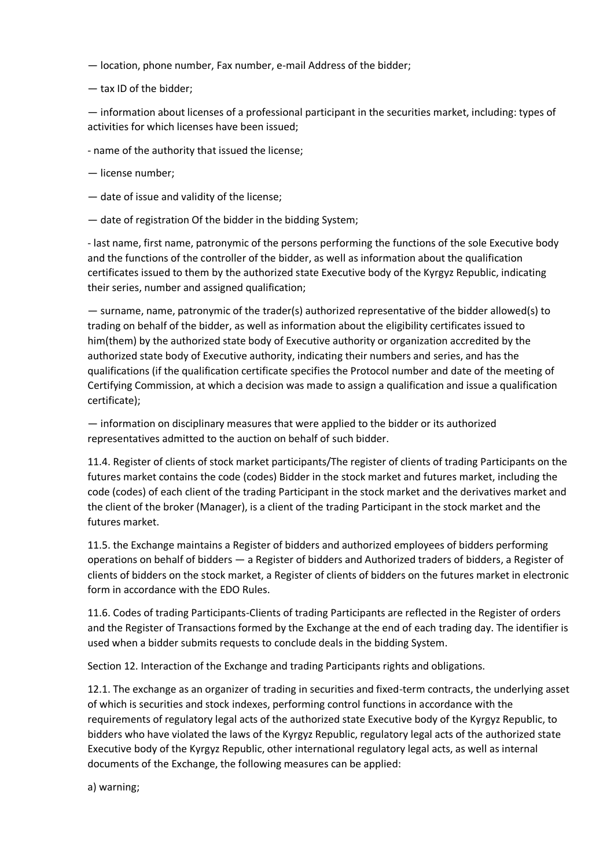— location, phone number, Fax number, e-mail Address of the bidder;

— tax ID of the bidder;

— information about licenses of a professional participant in the securities market, including: types of activities for which licenses have been issued;

- name of the authority that issued the license;

— license number;

— date of issue and validity of the license;

— date of registration Of the bidder in the bidding System;

- last name, first name, patronymic of the persons performing the functions of the sole Executive body and the functions of the controller of the bidder, as well as information about the qualification certificates issued to them by the authorized state Executive body of the Kyrgyz Republic, indicating their series, number and assigned qualification;

— surname, name, patronymic of the trader(s) authorized representative of the bidder allowed(s) to trading on behalf of the bidder, as well as information about the eligibility certificates issued to him(them) by the authorized state body of Executive authority or organization accredited by the authorized state body of Executive authority, indicating their numbers and series, and has the qualifications (if the qualification certificate specifies the Protocol number and date of the meeting of Certifying Commission, at which a decision was made to assign a qualification and issue a qualification certificate);

— information on disciplinary measures that were applied to the bidder or its authorized representatives admitted to the auction on behalf of such bidder.

11.4. Register of clients of stock market participants/The register of clients of trading Participants on the futures market contains the code (codes) Bidder in the stock market and futures market, including the code (codes) of each client of the trading Participant in the stock market and the derivatives market and the client of the broker (Manager), is a client of the trading Participant in the stock market and the futures market.

11.5. the Exchange maintains a Register of bidders and authorized employees of bidders performing operations on behalf of bidders — a Register of bidders and Authorized traders of bidders, a Register of clients of bidders on the stock market, a Register of clients of bidders on the futures market in electronic form in accordance with the EDO Rules.

11.6. Codes of trading Participants-Clients of trading Participants are reflected in the Register of orders and the Register of Transactions formed by the Exchange at the end of each trading day. The identifier is used when a bidder submits requests to conclude deals in the bidding System.

Section 12. Interaction of the Exchange and trading Participants rights and obligations.

12.1. The exchange as an organizer of trading in securities and fixed-term contracts, the underlying asset of which is securities and stock indexes, performing control functions in accordance with the requirements of regulatory legal acts of the authorized state Executive body of the Kyrgyz Republic, to bidders who have violated the laws of the Kyrgyz Republic, regulatory legal acts of the authorized state Executive body of the Kyrgyz Republic, other international regulatory legal acts, as well as internal documents of the Exchange, the following measures can be applied:

a) warning;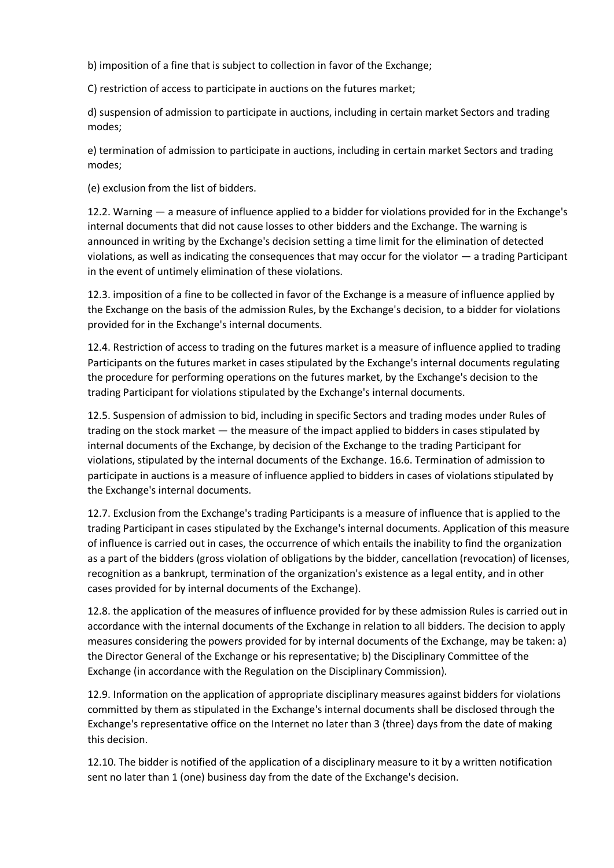b) imposition of a fine that is subject to collection in favor of the Exchange;

C) restriction of access to participate in auctions on the futures market;

d) suspension of admission to participate in auctions, including in certain market Sectors and trading modes;

e) termination of admission to participate in auctions, including in certain market Sectors and trading modes;

(e) exclusion from the list of bidders.

12.2. Warning — a measure of influence applied to a bidder for violations provided for in the Exchange's internal documents that did not cause losses to other bidders and the Exchange. The warning is announced in writing by the Exchange's decision setting a time limit for the elimination of detected violations, as well as indicating the consequences that may occur for the violator — a trading Participant in the event of untimely elimination of these violations.

12.3. imposition of a fine to be collected in favor of the Exchange is a measure of influence applied by the Exchange on the basis of the admission Rules, by the Exchange's decision, to a bidder for violations provided for in the Exchange's internal documents.

12.4. Restriction of access to trading on the futures market is a measure of influence applied to trading Participants on the futures market in cases stipulated by the Exchange's internal documents regulating the procedure for performing operations on the futures market, by the Exchange's decision to the trading Participant for violations stipulated by the Exchange's internal documents.

12.5. Suspension of admission to bid, including in specific Sectors and trading modes under Rules of trading on the stock market — the measure of the impact applied to bidders in cases stipulated by internal documents of the Exchange, by decision of the Exchange to the trading Participant for violations, stipulated by the internal documents of the Exchange. 16.6. Termination of admission to participate in auctions is a measure of influence applied to bidders in cases of violations stipulated by the Exchange's internal documents.

12.7. Exclusion from the Exchange's trading Participants is a measure of influence that is applied to the trading Participant in cases stipulated by the Exchange's internal documents. Application of this measure of influence is carried out in cases, the occurrence of which entails the inability to find the organization as a part of the bidders (gross violation of obligations by the bidder, cancellation (revocation) of licenses, recognition as a bankrupt, termination of the organization's existence as a legal entity, and in other cases provided for by internal documents of the Exchange).

12.8. the application of the measures of influence provided for by these admission Rules is carried out in accordance with the internal documents of the Exchange in relation to all bidders. The decision to apply measures considering the powers provided for by internal documents of the Exchange, may be taken: a) the Director General of the Exchange or his representative; b) the Disciplinary Committee of the Exchange (in accordance with the Regulation on the Disciplinary Commission).

12.9. Information on the application of appropriate disciplinary measures against bidders for violations committed by them as stipulated in the Exchange's internal documents shall be disclosed through the Exchange's representative office on the Internet no later than 3 (three) days from the date of making this decision.

12.10. The bidder is notified of the application of a disciplinary measure to it by a written notification sent no later than 1 (one) business day from the date of the Exchange's decision.